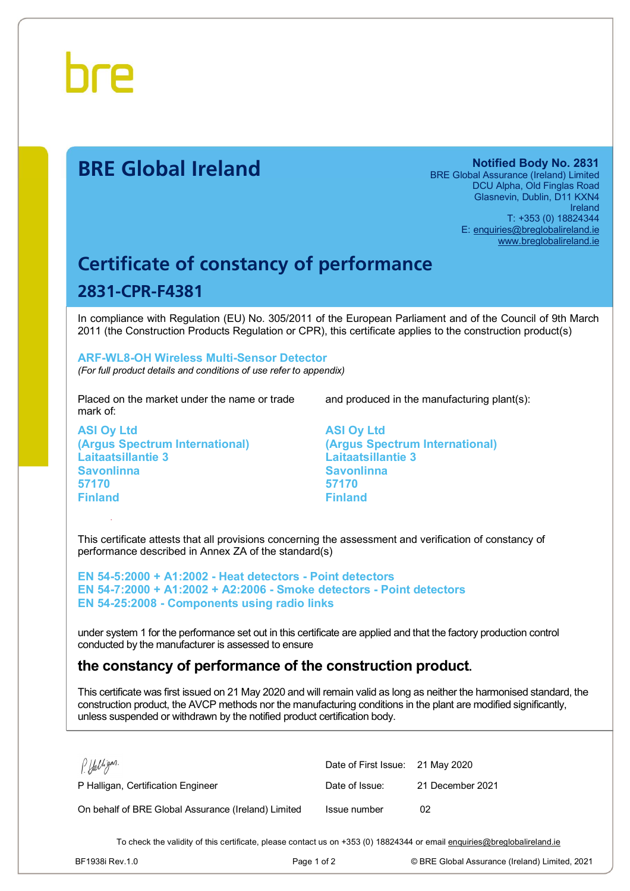

# **BRE Global Ireland Notified Body No. 2831**

BRE Global Assurance (Ireland) Limited DCU Alpha, Old Finglas Road Glasnevin, Dublin, D11 KXN4 Ireland T: +353 (0) 18824344 E: [enquiries@breglobalireland.ie](mailto:enquiries@breglobalireland.ie) [www.breglobalireland.ie](http://www.breglobalireland.ie)

# **Certificate of constancy of performance 2831-CPR-F4381**

In compliance with Regulation (EU) No. 305/2011 of the European Parliament and of the Council of 9th March 2011 (the Construction Products Regulation or CPR), this certificate applies to the construction product(s)

### **ARF-WL8-OH Wireless Multi-Sensor Detector**  *(For full product details and conditions of use refer to appendix)*

Placed on the market under the name or trade mark of:

**ASI Oy Ltd (Argus Spectrum International) Laitaatsillantie 3 Savonlinna 57170 Finland** 

and produced in the manufacturing plant(s):

**ASI Oy Ltd (Argus Spectrum International) Laitaatsillantie 3 Savonlinna 57170 Finland** 

This certificate attests that all provisions concerning the assessment and verification of constancy of performance described in Annex ZA of the standard(s)

**EN 54-5:2000 + A1:2002 - Heat detectors - Point detectors EN 54-7:2000 + A1:2002 + A2:2006 - Smoke detectors - Point detectors EN 54-25:2008 - Components using radio links** 

under system 1 for the performance set out in this certificate are applied and that the factory production control conducted by the manufacturer is assessed to ensure

# **the constancy of performance of the construction product.**

This certificate was first issued on 21 May 2020 and will remain valid as long as neither the harmonised standard, the construction product, the AVCP methods nor the manufacturing conditions in the plant are modified significantly, unless suspended or withdrawn by the notified product certification body.

| P. Halligan.                                        | Date of First Issue: 21 May 2020 |                  |
|-----------------------------------------------------|----------------------------------|------------------|
| P Halligan, Certification Engineer                  | Date of Issue:                   | 21 December 2021 |
| On behalf of BRE Global Assurance (Ireland) Limited | Issue number                     | 02               |

To check the validity of this certificate, please contact us on +353 (0) 18824344 or email [enquiries@breglobalireland.ie](mailto:enquiries@breglobalireland.ie)